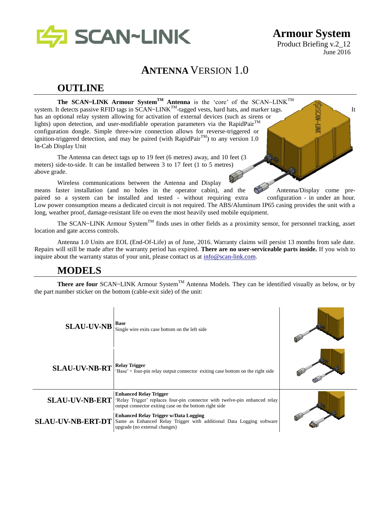

**Armour System** Product Briefing v.2\_12 June 2016

# **ANTENNA** VERSION 1.0

# **OUTLINE**

**The SCAN~LINK Armour SystemTM Antenna** is the 'core' of the SCAN~LINKTM system. It detects passive RFID tags in SCAN~LINK<sup>TM</sup>-tagged vests, hard hats, and marker tags. has an optional relay system allowing for activation of external devices (such as sirens or lights) upon detection, and user-modifiable operation parameters via the RapidPair<sup>TM</sup> configuration dongle. Simple three-wire connection allows for reverse-triggered or ignition-triggered detection, and may be paired (with RapidPair<sup>TM</sup>) to any version 1.0 In-Cab Display Unit

The Antenna can detect tags up to 19 feet (6 metres) away, and 10 feet (3 meters) side-to-side. It can be installed between 3 to 17 feet (1 to 5 metres) above grade.

Wireless communications between the Antenna and Display means faster installation (and no holes in the operator cabin), and the Antenna/Display come prepaired so a system can be installed and tested - without requiring extra configuration - in under an hour. Low power consumption means a dedicated circuit is not required. The ABS/Aluminum IP65 casing provides the unit with a long, weather proof, damage-resistant life on even the most heavily used mobile equipment.

The SCAN~LINK Armour System<sup>TM</sup> finds uses in other fields as a proximity sensor, for personnel tracking, asset location and gate access controls.

Antenna 1.0 Units are EOL (End-Of-Life) as of June, 2016. Warranty claims will persist 13 months from sale date. Repairs will still be made after the warranty period has expired. **There are no user-serviceable parts inside.** If you wish to inquire about the warranty status of your unit, please contact us at [info@scan-link.com.](mailto:info@scan-link.com)

# **MODELS**

**There are four** SCAN~LINK Armour System<sup>TM</sup> Antenna Models. They can be identified visually as below, or by the part number sticker on the bottom (cable-exit side) of the unit:

| <b>SLAU-UV-NB</b>        | <b>Base</b><br>Single wire exits case bottom on the left side                                                                                                         |  |
|--------------------------|-----------------------------------------------------------------------------------------------------------------------------------------------------------------------|--|
| <b>SLAU-UV-NB-RT</b>     | <b>Relay Trigger</b><br>'Base' + four-pin relay output connector exiting case bottom on the right side                                                                |  |
| <b>SLAU-UV-NB-ERT</b>    | <b>Enhanced Relay Trigger</b><br>'Relay Trigger' replaces four-pin connector with twelve-pin enhanced relay<br>output connector exiting case on the bottom right side |  |
| <b>SLAU-UV-NB-ERT-DT</b> | <b>Enhanced Relay Trigger w/Data Logging</b><br>Same as Enhanced Relay Trigger with additional Data Logging software<br>upgrade (no external changes)                 |  |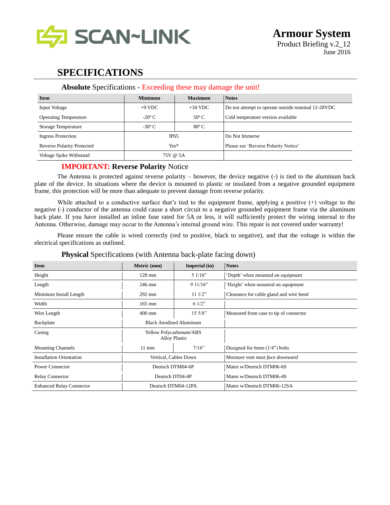

# **SPECIFICATIONS**

### **Absolute** Specifications - Exceeding these may damage the unit!

| <b>Item</b>                       | <b>Minimum</b>  | <b>Maximum</b> | <b>Notes</b>                                        |
|-----------------------------------|-----------------|----------------|-----------------------------------------------------|
| Input Voltage                     | $+9$ VDC        | $+34$ VDC      | Do not attempt to operate outside nominal 12-28 VDC |
| <b>Operating Temperature</b>      | $-20^{\circ}$ C | $50^{\circ}$ C | Cold temperature version available                  |
| Storage Temperature               | $-30^{\circ}$ C | $80^{\circ}$ C |                                                     |
| <b>Ingress Protection</b>         | IP65            |                | Do Not Immerse                                      |
| <b>Reverse Polarity Protected</b> | $Yes*$          |                | Please see 'Reverse Polarity Notice'                |
| Voltage Spike Withstand           | 75V @ 5A        |                |                                                     |

### **IMPORTANT: Reverse Polarity** Notice

The Antenna is protected against reverse polarity – however, the device negative (-) is tied to the aluminum back plate of the device. In situations where the device is mounted to plastic or insulated from a negative grounded equipment frame, this protection will be more than adequate to prevent damage from reverse polarity.

While attached to a conductive surface that's tied to the equipment frame, applying a positive (+) voltage to the negative (-) conductor of the antenna could cause a short circuit to a negative grounded equipment frame via the aluminum back plate. If you have installed an inline fuse rated for 5A or less, it will sufficiently protect the wiring internal to the Antenna. Otherwise, damage may occur to the Antenna's internal ground wire. This repair is not covered under warranty!

Please ensure the cable is wired correctly (red to positive, black to negative), and that the voltage is within the electrical specifications as outlined.

| <b>Item</b>                     | Metric (mm)                                      | Imperial (in)    | <b>Notes</b>                            |
|---------------------------------|--------------------------------------------------|------------------|-----------------------------------------|
| Height                          | $128$ mm                                         | 51/16"           | 'Depth' when mounted on equipment       |
| Length                          | 246 mm                                           | 911/16"          | 'Height' when mounted on equipment      |
| Minimum Install Length          | $292 \text{ mm}$                                 | $11 \frac{1}{2}$ | Clearance for cable gland and wire bend |
| Width                           | $165$ mm                                         | 61/2"            |                                         |
| Wire Length                     | $400$ mm                                         | 15.5/8"          | Measured from case to tip of connector  |
| Backplate                       | <b>Black Anodized Aluminum</b>                   |                  |                                         |
| Casing                          | Yellow Polycarbonate/ABS<br><b>Alloy Plastic</b> |                  |                                         |
| <b>Mounting Channels</b>        | $7/16$ "<br>$11 \text{ mm}$                      |                  | Designed for 6mm $(1/4)$ bolts          |
| <b>Installation Orientation</b> | Vertical, Cables Down                            |                  | Moisture vent must face downward        |
| Power Connector                 | Deutsch DTM04-6P                                 |                  | Mates w/Deutsch DTM06-6S                |
| <b>Relay Connector</b>          | Deutsch DT04-4P                                  |                  | Mates w/Deutsch DTM06-4S                |
| <b>Enhanced Relay Connector</b> | Deutsch DTM04-12PA                               |                  | Mates w/Deutsch DTM06-12SA              |

### **Physical Specifications (with Antenna back-plate facing down)**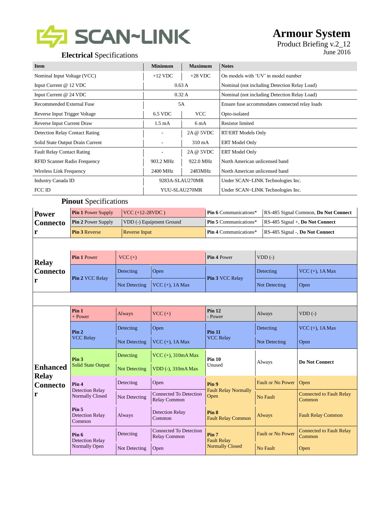

# **Armour System**

# Product Briefing v.2\_12

| <b>Item</b>                           | <b>Minimum</b>   | <b>Maximum</b> | <b>Notes</b>                                   |
|---------------------------------------|------------------|----------------|------------------------------------------------|
| Nominal Input Voltage (VCC)           | $+12$ VDC        | $+28$ VDC      | On models with 'UV' in model number            |
| Input Current @ 12 VDC                | 0.63A            |                | Nominal (not including Detection Relay Load)   |
| Input Current @ 24 VDC                | 0.32A            |                | Nominal (not including Detection Relay Load)   |
| Recommended External Fuse             | 5A               |                | Ensure fuse accommodates connected relay loads |
| Reverse Input Trigger Voltage         | 6.5 VDC          | <b>VCC</b>     | Opto-isolated                                  |
| Reverse Input Current Draw            | $1.5 \text{ mA}$ | 6 mA           | <b>Resistor</b> limited                        |
| <b>Detection Relay Contact Rating</b> |                  | 2A @ 5VDC      | <b>RT/ERT Models Only</b>                      |
| Solid State Output Drain Current      |                  | 310 mA         | <b>ERT</b> Model Only                          |
| <b>Fault Relay Contact Rating</b>     |                  | 2A @ 5VDC      | <b>ERT</b> Model Only                          |
| <b>RFID Scanner Radio Frequency</b>   | 903.2 MHz        | 922.0 MHz      | North American unlicensed band                 |
| Wireless Link Frequency               | 2400 MHz         | 2483MHz        | North American unlicensed band                 |
| Industry Canada ID                    | 9283A-SLAU270MR  |                | Under SCAN~LINK Technologies Inc.              |
| FCC ID                                | YUU-SLAU270MR    |                | Under SCAN~LINK Technologies Inc.              |

### **Pinout** Specifications

| Power    | <b>Pin 1 Power Supply</b> | $ VCC (+12-28VDC)$       | <b>Pin 6</b> Communications* | RS-485 Signal Common, Do Not Connect     |
|----------|---------------------------|--------------------------|------------------------------|------------------------------------------|
| Connecto | <b>Pin 2 Power Supply</b> | VDD (-) Equipment Ground | <b>Pin 5</b> Communications* | $RS-485$ Signal +, <b>Do Not Connect</b> |
|          | <b>Pin 3 Reverse</b>      | <b>Reverse Input</b>     | <b>Pin 4 Communications*</b> | RS-485 Signal -, Do Not Connect          |

| <b>Relay</b>                              | <b>Pin 1 Power</b> | $VCC (+)$     |                         | <b>Pin 4 Power</b>     | $VDD$ (-)                  |             |
|-------------------------------------------|--------------------|---------------|-------------------------|------------------------|----------------------------|-------------|
| <b>Connecto</b><br><b>Pin 2 VCC Relay</b> | Detecting          | Open          |                         | Detecting              | $\vert$ VCC $(+)$ , 1A Max |             |
| r                                         |                    | Not Detecting | $\vert$ VCC (+), 1A Max | <b>Pin 3 VCC Relay</b> | Not Detecting              | <b>Open</b> |

|                                                                                                                                                                                                   | Pin <sub>1</sub><br>$+$ Power | Always                                        | $VCC (+)$                                            | Pin 12<br>- Power                      | Always                                    | $VDD$ (-)                                 |
|---------------------------------------------------------------------------------------------------------------------------------------------------------------------------------------------------|-------------------------------|-----------------------------------------------|------------------------------------------------------|----------------------------------------|-------------------------------------------|-------------------------------------------|
|                                                                                                                                                                                                   | Pin <sub>2</sub>              | Detecting                                     | Open                                                 | <b>Pin 11</b><br><b>VCC Relay</b>      | Detecting                                 | $VCC$ (+), 1A Max                         |
|                                                                                                                                                                                                   | <b>VCC Relay</b>              | Not Detecting                                 | VCC $(+)$ , 1A Max                                   |                                        | Not Detecting                             | Open                                      |
|                                                                                                                                                                                                   | Pin <sub>3</sub>              | Detecting                                     | $VCC$ (+), 310mA Max                                 | <b>Pin 10</b>                          | Always                                    | Do Not Connect                            |
| <b>Enhanced</b><br><b>Relay</b>                                                                                                                                                                   | <b>Solid State Output</b>     | Not Detecting                                 | VDD (-), 310mA Max                                   | Unused                                 |                                           |                                           |
| Pin <sub>4</sub><br><b>Connecto</b><br><b>Detection Relay</b><br>r<br>Normally Closed<br>Pin <sub>5</sub><br><b>Detection Relay</b><br>Common<br>Pin 6<br><b>Detection Relay</b><br>Normally Open |                               | Detecting                                     | Open                                                 | Pin 9                                  | <b>Fault or No Power</b>                  | Open                                      |
|                                                                                                                                                                                                   | Not Detecting                 | <b>Connected To Detection</b><br>Relay Common | <b>Fault Relay Normally</b><br>Open                  | No Fault                               | <b>Connected to Fault Relay</b><br>Common |                                           |
|                                                                                                                                                                                                   |                               | Always                                        | <b>Detection Relay</b><br>Common                     | Pin 8<br><b>Fault Relay Common</b>     | Always                                    | <b>Fault Relay Common</b>                 |
|                                                                                                                                                                                                   |                               | Detecting                                     | <b>Connected To Detection</b><br><b>Relay Common</b> | Pin <sub>7</sub><br><b>Fault Relay</b> | <b>Fault or No Power</b>                  | <b>Connected to Fault Relay</b><br>Common |
|                                                                                                                                                                                                   |                               | Not Detecting                                 | Open                                                 | <b>Normally Closed</b>                 | No Fault                                  | Open                                      |